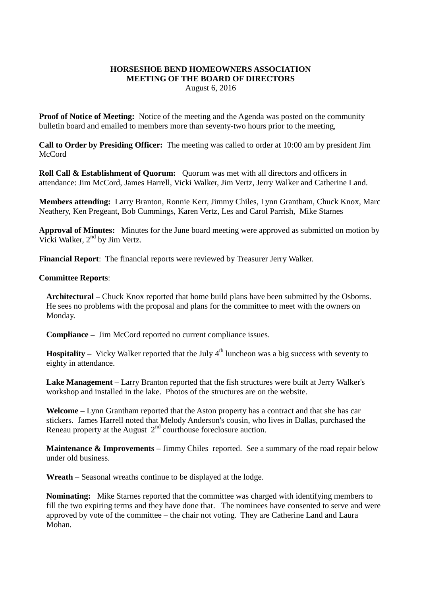## **HORSESHOE BEND HOMEOWNERS ASSOCIATION MEETING OF THE BOARD OF DIRECTORS**

August 6, 2016

**Proof of Notice of Meeting:** Notice of the meeting and the Agenda was posted on the community bulletin board and emailed to members more than seventy-two hours prior to the meeting,

**Call to Order by Presiding Officer:** The meeting was called to order at 10:00 am by president Jim **McCord** 

**Roll Call & Establishment of Quorum:** Quorum was met with all directors and officers in attendance: Jim McCord, James Harrell, Vicki Walker, Jim Vertz, Jerry Walker and Catherine Land.

**Members attending:** Larry Branton, Ronnie Kerr, Jimmy Chiles, Lynn Grantham, Chuck Knox, Marc Neathery, Ken Pregeant, Bob Cummings, Karen Vertz, Les and Carol Parrish, Mike Starnes

**Approval of Minutes:** Minutes for the June board meeting were approved as submitted on motion by Vicki Walker, 2nd by Jim Vertz.

**Financial Report**: The financial reports were reviewed by Treasurer Jerry Walker.

## **Committee Reports**:

**Architectural –** Chuck Knox reported that home build plans have been submitted by the Osborns. He sees no problems with the proposal and plans for the committee to meet with the owners on Monday.

**Compliance –** Jim McCord reported no current compliance issues.

**Hospitality** – Vicky Walker reported that the July  $4<sup>th</sup>$  luncheon was a big success with seventy to eighty in attendance.

**Lake Management** – Larry Branton reported that the fish structures were built at Jerry Walker's workshop and installed in the lake. Photos of the structures are on the website.

**Welcome** – Lynn Grantham reported that the Aston property has a contract and that she has car stickers. James Harrell noted that Melody Anderson's cousin, who lives in Dallas, purchased the Reneau property at the August  $2<sup>nd</sup>$  courthouse foreclosure auction.

**Maintenance & Improvements** – Jimmy Chiles reported. See a summary of the road repair below under old business.

**Wreath** – Seasonal wreaths continue to be displayed at the lodge.

**Nominating:** Mike Starnes reported that the committee was charged with identifying members to fill the two expiring terms and they have done that. The nominees have consented to serve and were approved by vote of the committee – the chair not voting. They are Catherine Land and Laura Mohan.